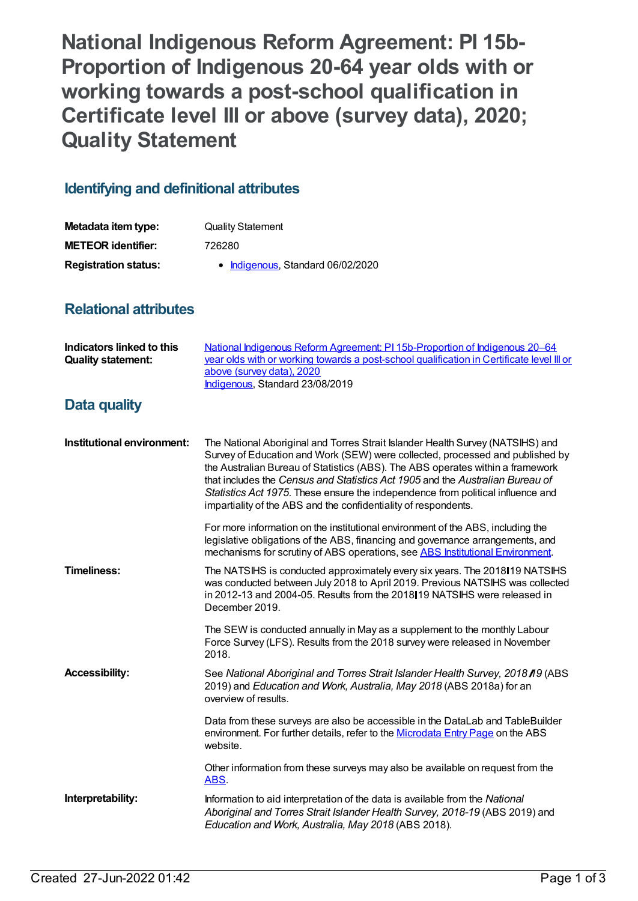**National Indigenous Reform Agreement: PI 15b-Proportion of Indigenous 20-64 year olds with or working towards a post-school qualification in Certificate level III or above (survey data), 2020; Quality Statement**

## **Identifying and definitional attributes**

| Metadata item type:         | <b>Quality Statement</b>          |
|-----------------------------|-----------------------------------|
| <b>METEOR identifier:</b>   | 726280                            |
| <b>Registration status:</b> | • Indigenous, Standard 06/02/2020 |

## **Relational attributes**

| <b>Indicators linked to this</b><br><b>Quality statement:</b> | National Indigenous Reform Agreement: PI 15b-Proportion of Indigenous 20-64<br>year olds with or working towards a post-school qualification in Certificate level III or<br>above (survey data), 2020<br>Indigenous, Standard 23/08/2019                                                                                                                                                                                                                                                 |
|---------------------------------------------------------------|------------------------------------------------------------------------------------------------------------------------------------------------------------------------------------------------------------------------------------------------------------------------------------------------------------------------------------------------------------------------------------------------------------------------------------------------------------------------------------------|
| <b>Data quality</b>                                           |                                                                                                                                                                                                                                                                                                                                                                                                                                                                                          |
| Institutional environment:                                    | The National Aboriginal and Torres Strait Islander Health Survey (NATSIHS) and<br>Survey of Education and Work (SEW) were collected, processed and published by<br>the Australian Bureau of Statistics (ABS). The ABS operates within a framework<br>that includes the Census and Statistics Act 1905 and the Australian Bureau of<br>Statistics Act 1975. These ensure the independence from political influence and<br>impartiality of the ABS and the confidentiality of respondents. |
|                                                               | For more information on the institutional environment of the ABS, including the<br>legislative obligations of the ABS, financing and governance arrangements, and<br>mechanisms for scrutiny of ABS operations, see ABS Institutional Environment.                                                                                                                                                                                                                                       |
| <b>Timeliness:</b>                                            | The NATSIHS is conducted approximately every six years. The 2018 19 NATSIHS<br>was conducted between July 2018 to April 2019. Previous NATSIHS was collected<br>in 2012-13 and 2004-05. Results from the 2018 19 NATSIHS were released in<br>December 2019.                                                                                                                                                                                                                              |
|                                                               | The SEW is conducted annually in May as a supplement to the monthly Labour<br>Force Survey (LFS). Results from the 2018 survey were released in November<br>2018.                                                                                                                                                                                                                                                                                                                        |
| <b>Accessibility:</b>                                         | See National Aboriginal and Torres Strait Islander Health Survey, 2018 19 (ABS<br>2019) and Education and Work, Australia, May 2018 (ABS 2018a) for an<br>overview of results.                                                                                                                                                                                                                                                                                                           |
|                                                               | Data from these surveys are also be accessible in the DataLab and TableBuilder<br>environment. For further details, refer to the Microdata Entry Page on the ABS<br>website.                                                                                                                                                                                                                                                                                                             |
|                                                               | Other information from these surveys may also be available on request from the<br>ABS.                                                                                                                                                                                                                                                                                                                                                                                                   |
| Interpretability:                                             | Information to aid interpretation of the data is available from the National<br>Aboriginal and Torres Strait Islander Health Survey, 2018-19 (ABS 2019) and<br>Education and Work, Australia, May 2018 (ABS 2018).                                                                                                                                                                                                                                                                       |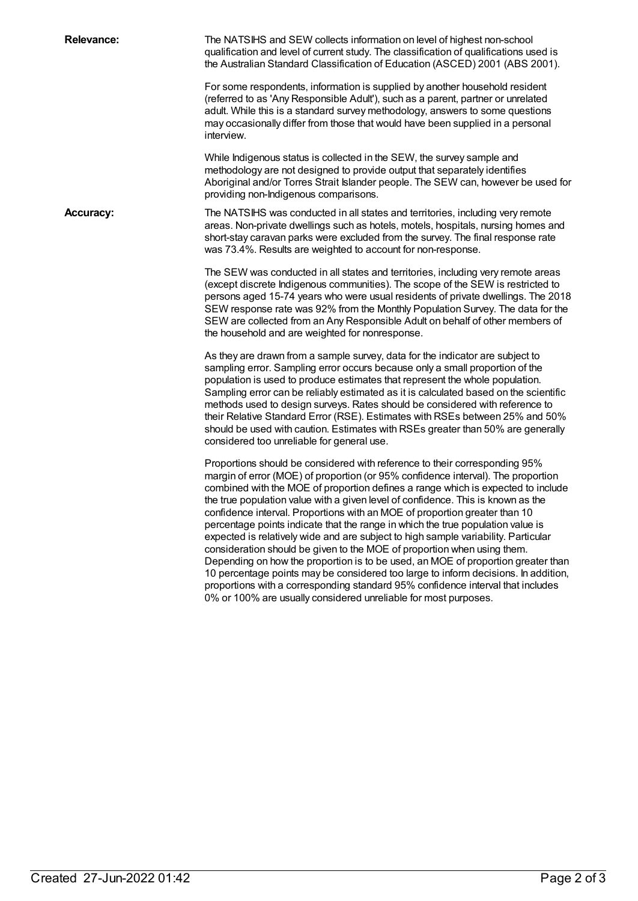| <b>Relevance:</b> | The NATSIHS and SEW collects information on level of highest non-school<br>qualification and level of current study. The classification of qualifications used is<br>the Australian Standard Classification of Education (ASCED) 2001 (ABS 2001).                                                                                                                                                                                                                                                                                                                                                                                                                                                                                                                                                                                                                                                                                                                                                        |
|-------------------|----------------------------------------------------------------------------------------------------------------------------------------------------------------------------------------------------------------------------------------------------------------------------------------------------------------------------------------------------------------------------------------------------------------------------------------------------------------------------------------------------------------------------------------------------------------------------------------------------------------------------------------------------------------------------------------------------------------------------------------------------------------------------------------------------------------------------------------------------------------------------------------------------------------------------------------------------------------------------------------------------------|
|                   | For some respondents, information is supplied by another household resident<br>(referred to as 'Any Responsible Adult'), such as a parent, partner or unrelated<br>adult. While this is a standard survey methodology, answers to some questions<br>may occasionally differ from those that would have been supplied in a personal<br>interview.                                                                                                                                                                                                                                                                                                                                                                                                                                                                                                                                                                                                                                                         |
|                   | While Indigenous status is collected in the SEW, the survey sample and<br>methodology are not designed to provide output that separately identifies<br>Aboriginal and/or Torres Strait Islander people. The SEW can, however be used for<br>providing non-Indigenous comparisons.                                                                                                                                                                                                                                                                                                                                                                                                                                                                                                                                                                                                                                                                                                                        |
| <b>Accuracy:</b>  | The NATSIHS was conducted in all states and territories, including very remote<br>areas. Non-private dwellings such as hotels, motels, hospitals, nursing homes and<br>short-stay caravan parks were excluded from the survey. The final response rate<br>was 73.4%. Results are weighted to account for non-response.                                                                                                                                                                                                                                                                                                                                                                                                                                                                                                                                                                                                                                                                                   |
|                   | The SEW was conducted in all states and territories, including very remote areas<br>(except discrete Indigenous communities). The scope of the SEW is restricted to<br>persons aged 15-74 years who were usual residents of private dwellings. The 2018<br>SEW response rate was 92% from the Monthly Population Survey. The data for the<br>SEW are collected from an Any Responsible Adult on behalf of other members of<br>the household and are weighted for nonresponse.                                                                                                                                                                                                                                                                                                                                                                                                                                                                                                                            |
|                   | As they are drawn from a sample survey, data for the indicator are subject to<br>sampling error. Sampling error occurs because only a small proportion of the<br>population is used to produce estimates that represent the whole population.<br>Sampling error can be reliably estimated as it is calculated based on the scientific<br>methods used to design surveys. Rates should be considered with reference to<br>their Relative Standard Error (RSE). Estimates with RSEs between 25% and 50%<br>should be used with caution. Estimates with RSEs greater than 50% are generally<br>considered too unreliable for general use.                                                                                                                                                                                                                                                                                                                                                                   |
|                   | Proportions should be considered with reference to their corresponding 95%<br>margin of error (MOE) of proportion (or 95% confidence interval). The proportion<br>combined with the MOE of proportion defines a range which is expected to include<br>the true population value with a given level of confidence. This is known as the<br>confidence interval. Proportions with an MOE of proportion greater than 10<br>percentage points indicate that the range in which the true population value is<br>expected is relatively wide and are subject to high sample variability. Particular<br>consideration should be given to the MOE of proportion when using them.<br>Depending on how the proportion is to be used, an MOE of proportion greater than<br>10 percentage points may be considered too large to inform decisions. In addition,<br>proportions with a corresponding standard 95% confidence interval that includes<br>0% or 100% are usually considered unreliable for most purposes. |